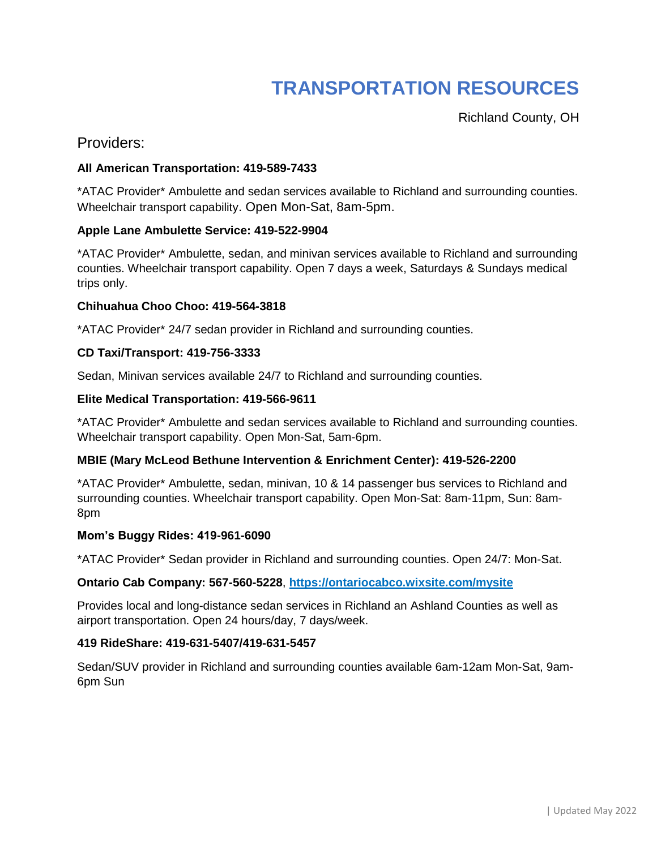# **TRANSPORTATION RESOURCES**

Richland County, OH

# Providers:

# **All American Transportation: 419-589-7433**

\*ATAC Provider\* Ambulette and sedan services available to Richland and surrounding counties. Wheelchair transport capability. Open Mon-Sat, 8am-5pm.

## **Apple Lane Ambulette Service: 419-522-9904**

\*ATAC Provider\* Ambulette, sedan, and minivan services available to Richland and surrounding counties. Wheelchair transport capability. Open 7 days a week, Saturdays & Sundays medical trips only.

#### **Chihuahua Choo Choo: 419-564-3818**

\*ATAC Provider\* 24/7 sedan provider in Richland and surrounding counties.

#### **CD Taxi/Transport: 419-756-3333**

Sedan, Minivan services available 24/7 to Richland and surrounding counties.

#### **Elite Medical Transportation: 419-566-9611**

\*ATAC Provider\* Ambulette and sedan services available to Richland and surrounding counties. Wheelchair transport capability. Open Mon-Sat, 5am-6pm.

## **MBIE (Mary McLeod Bethune Intervention & Enrichment Center): 419-526-2200**

\*ATAC Provider\* Ambulette, sedan, minivan, 10 & 14 passenger bus services to Richland and surrounding counties. Wheelchair transport capability. Open Mon-Sat: 8am-11pm, Sun: 8am-8pm

#### **Mom's Buggy Rides: 419-961-6090**

\*ATAC Provider\* Sedan provider in Richland and surrounding counties. Open 24/7: Mon-Sat.

#### **Ontario Cab Company: 567-560-5228**, **https://ontariocabco.wixsite.com/mysite**

Provides local and long-distance sedan services in Richland an Ashland Counties as well as airport transportation. Open 24 hours/day, 7 days/week.

#### **419 RideShare: 419-631-5407/419-631-5457**

Sedan/SUV provider in Richland and surrounding counties available 6am-12am Mon-Sat, 9am-6pm Sun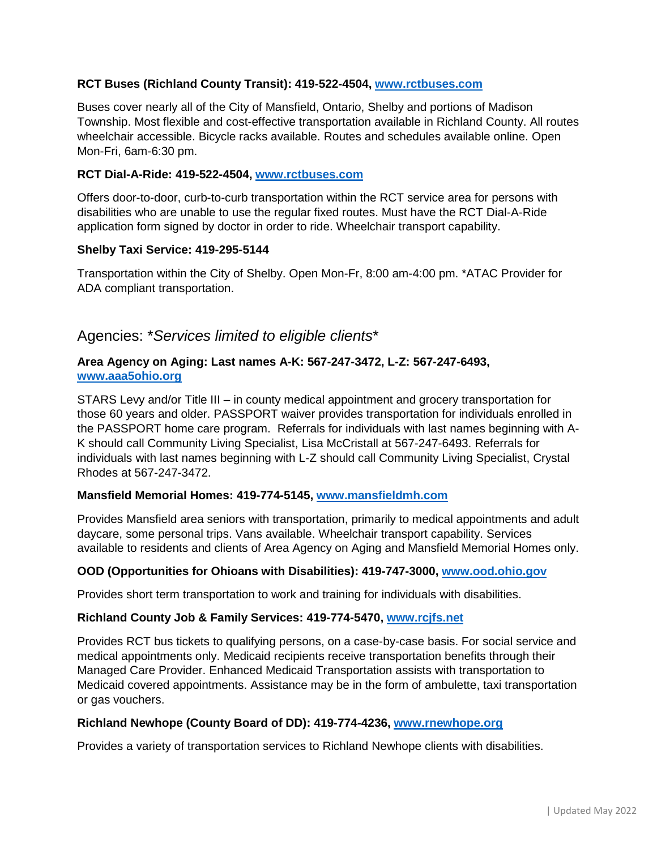## **RCT Buses (Richland County Transit): 419-522-4504, [www.rctbuses.com](http://www.rctbuses.com/)**

Buses cover nearly all of the City of Mansfield, Ontario, Shelby and portions of Madison Township. Most flexible and cost-effective transportation available in Richland County. All routes wheelchair accessible. Bicycle racks available. Routes and schedules available online. Open Mon-Fri, 6am-6:30 pm.

#### **RCT Dial-A-Ride: 419-522-4504, [www.rctbuses.com](http://www.rctbuses.com/)**

Offers door-to-door, curb-to-curb transportation within the RCT service area for persons with disabilities who are unable to use the regular fixed routes. Must have the RCT Dial-A-Ride application form signed by doctor in order to ride. Wheelchair transport capability.

#### **Shelby Taxi Service: 419-295-5144**

Transportation within the City of Shelby. Open Mon-Fr, 8:00 am-4:00 pm. \*ATAC Provider for ADA compliant transportation.

# Agencies: \**Services limited to eligible clients*\*

## **Area Agency on Aging: Last names A-K: 567-247-3472, L-Z: 567-247-6493, [www.aaa5ohio.org](http://www.aaa5ohio.org/)**

STARS Levy and/or Title III – in county medical appointment and grocery transportation for those 60 years and older. PASSPORT waiver provides transportation for individuals enrolled in the PASSPORT home care program. Referrals for individuals with last names beginning with A-K should call Community Living Specialist, Lisa McCristall at 567-247-6493. Referrals for individuals with last names beginning with L-Z should call Community Living Specialist, Crystal Rhodes at 567-247-3472.

#### **Mansfield Memorial Homes: 419-774-5145, [www.mansfieldmh.com](http://www.mansfieldmh.com/)**

Provides Mansfield area seniors with transportation, primarily to medical appointments and adult daycare, some personal trips. Vans available. Wheelchair transport capability. Services available to residents and clients of Area Agency on Aging and Mansfield Memorial Homes only.

#### **OOD (Opportunities for Ohioans with Disabilities): 419-747-3000, [www.ood.ohio.gov](http://www.ood.ohio.gov/)**

Provides short term transportation to work and training for individuals with disabilities.

#### **Richland County Job & Family Services: 419-774-5470, [www.rcjfs.net](http://www.rcjfs.net/)**

Provides RCT bus tickets to qualifying persons, on a case-by-case basis. For social service and medical appointments only. Medicaid recipients receive transportation benefits through their Managed Care Provider. Enhanced Medicaid Transportation assists with transportation to Medicaid covered appointments. Assistance may be in the form of ambulette, taxi transportation or gas vouchers.

#### **Richland Newhope (County Board of DD): 419-774-4236, [www.rnewhope.org](http://www.rnewhope.org/)**

Provides a variety of transportation services to Richland Newhope clients with disabilities.